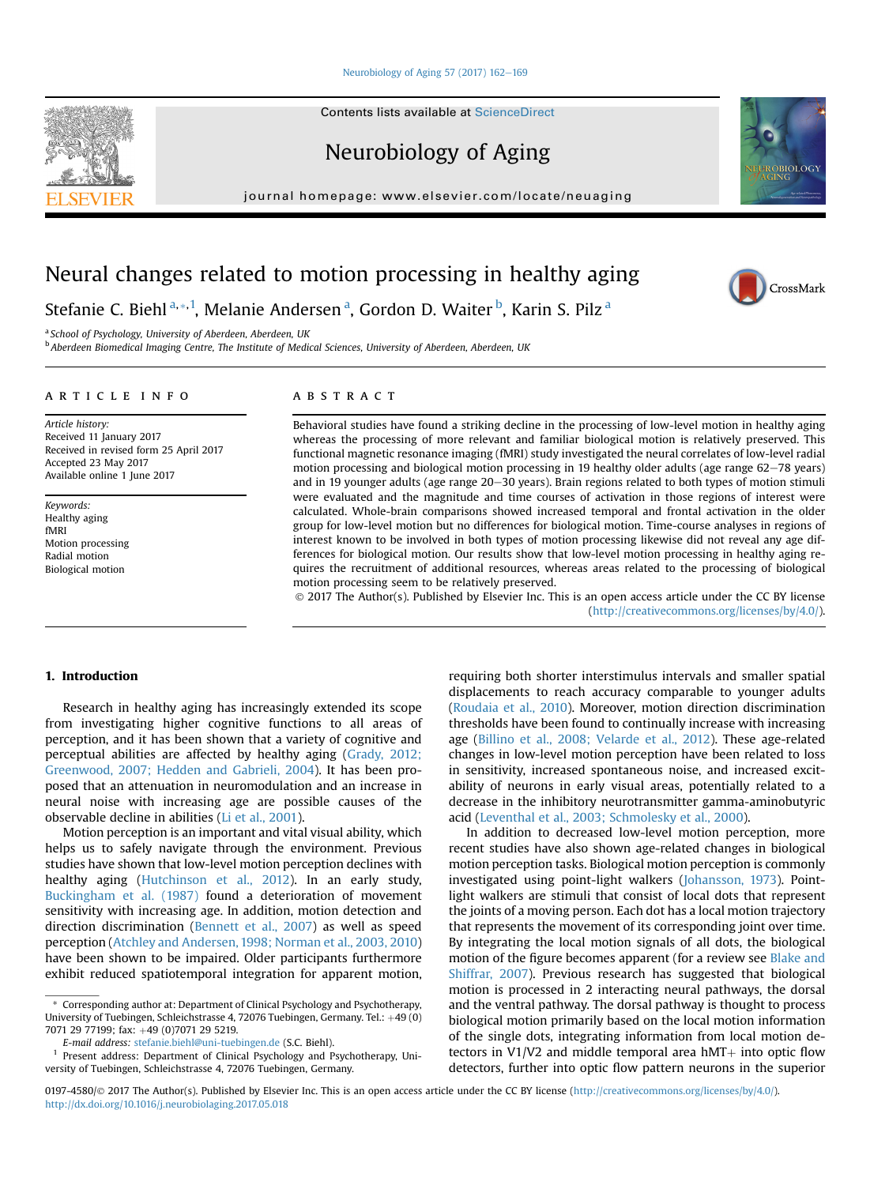#### [Neurobiology of Aging 57 \(2017\) 162](http://dx.doi.org/10.1016/j.neurobiolaging.2017.05.018)-[169](http://dx.doi.org/10.1016/j.neurobiolaging.2017.05.018)

**Contents lists available at ScienceDirect** 

Neurobiology of Aging

journal homepage: [www.elsevier.com/locate/neuaging](http://www.elsevier.com/locate/neuaging)

# Neural changes related to motion processing in healthy aging

Stefanie C. Biehl<sup>a, \*, 1</sup>, Melanie Andersen <sup>a</sup>, Gordon D. Waiter <sup>b</sup>, Karin S. Pilz <sup>a</sup>

a School of Psychology, University of Aberdeen, Aberdeen, UK

<sup>b</sup> Aberdeen Biomedical Imaging Centre, The Institute of Medical Sciences, University of Aberdeen, Aberdeen, UK

# article info

Article history: Received 11 January 2017 Received in revised form 25 April 2017 Accepted 23 May 2017 Available online 1 June 2017

Keywords: Healthy aging fMRI Motion processing Radial motion Biological motion

# **ABSTRACT**

Behavioral studies have found a striking decline in the processing of low-level motion in healthy aging whereas the processing of more relevant and familiar biological motion is relatively preserved. This functional magnetic resonance imaging (fMRI) study investigated the neural correlates of low-level radial motion processing and biological motion processing in 19 healthy older adults (age range 62-78 years) and in 19 younger adults (age range  $20-30$  years). Brain regions related to both types of motion stimuli were evaluated and the magnitude and time courses of activation in those regions of interest were calculated. Whole-brain comparisons showed increased temporal and frontal activation in the older group for low-level motion but no differences for biological motion. Time-course analyses in regions of interest known to be involved in both types of motion processing likewise did not reveal any age differences for biological motion. Our results show that low-level motion processing in healthy aging requires the recruitment of additional resources, whereas areas related to the processing of biological motion processing seem to be relatively preserved.

 2017 The Author(s). Published by Elsevier Inc. This is an open access article under the CC BY license (<http://creativecommons.org/licenses/by/4.0/>).

## 1. Introduction

Research in healthy aging has increasingly extended its scope from investigating higher cognitive functions to all areas of perception, and it has been shown that a variety of cognitive and perceptual abilities are affected by healthy aging [\(Grady, 2012;](#page-6-0) [Greenwood, 2007; Hedden and Gabrieli, 2004\)](#page-6-0). It has been proposed that an attenuation in neuromodulation and an increase in neural noise with increasing age are possible causes of the observable decline in abilities [\(Li et al., 2001\)](#page-6-0).

Motion perception is an important and vital visual ability, which helps us to safely navigate through the environment. Previous studies have shown that low-level motion perception declines with healthy aging ([Hutchinson et al., 2012\)](#page-6-0). In an early study, [Buckingham et al. \(1987\)](#page-6-0) found a deterioration of movement sensitivity with increasing age. In addition, motion detection and direction discrimination [\(Bennett et al., 2007\)](#page-6-0) as well as speed perception ([Atchley and Andersen, 1998; Norman et al., 2003, 2010\)](#page-6-0) have been shown to be impaired. Older participants furthermore exhibit reduced spatiotemporal integration for apparent motion, requiring both shorter interstimulus intervals and smaller spatial displacements to reach accuracy comparable to younger adults ([Roudaia et al., 2010](#page-6-0)). Moreover, motion direction discrimination thresholds have been found to continually increase with increasing age [\(Billino et al., 2008; Velarde et al., 2012\)](#page-6-0). These age-related changes in low-level motion perception have been related to loss in sensitivity, increased spontaneous noise, and increased excitability of neurons in early visual areas, potentially related to a decrease in the inhibitory neurotransmitter gamma-aminobutyric acid ([Leventhal et al., 2003; Schmolesky et al., 2000\)](#page-6-0).

In addition to decreased low-level motion perception, more recent studies have also shown age-related changes in biological motion perception tasks. Biological motion perception is commonly investigated using point-light walkers ([Johansson, 1973](#page-6-0)). Pointlight walkers are stimuli that consist of local dots that represent the joints of a moving person. Each dot has a local motion trajectory that represents the movement of its corresponding joint over time. By integrating the local motion signals of all dots, the biological motion of the figure becomes apparent (for a review see [Blake and](#page-6-0) [Shiffrar, 2007\)](#page-6-0). Previous research has suggested that biological motion is processed in 2 interacting neural pathways, the dorsal and the ventral pathway. The dorsal pathway is thought to process biological motion primarily based on the local motion information of the single dots, integrating information from local motion detectors in V1/V2 and middle temporal area  $hMT+$  into optic flow detectors, further into optic flow pattern neurons in the superior







<sup>\*</sup> Corresponding author at: Department of Clinical Psychology and Psychotherapy, University of Tuebingen, Schleichstrasse 4, 72076 Tuebingen, Germany. Tel.: +49 (0) 7071 29 77199; fax: +49 (0)7071 29 5219.

E-mail address: [stefanie.biehl@uni-tuebingen.de](mailto:stefanie.biehl@uni-tuebingen.de) (S.C. Biehl).

<sup>1</sup> Present address: Department of Clinical Psychology and Psychotherapy, University of Tuebingen, Schleichstrasse 4, 72076 Tuebingen, Germany.

<sup>0197-4580/@ 2017</sup> The Author(s). Published by Elsevier Inc. This is an open access article under the CC BY license [\(http://creativecommons.org/licenses/by/4.0/](http://creativecommons.org/licenses/by/4.0/)). <http://dx.doi.org/10.1016/j.neurobiolaging.2017.05.018>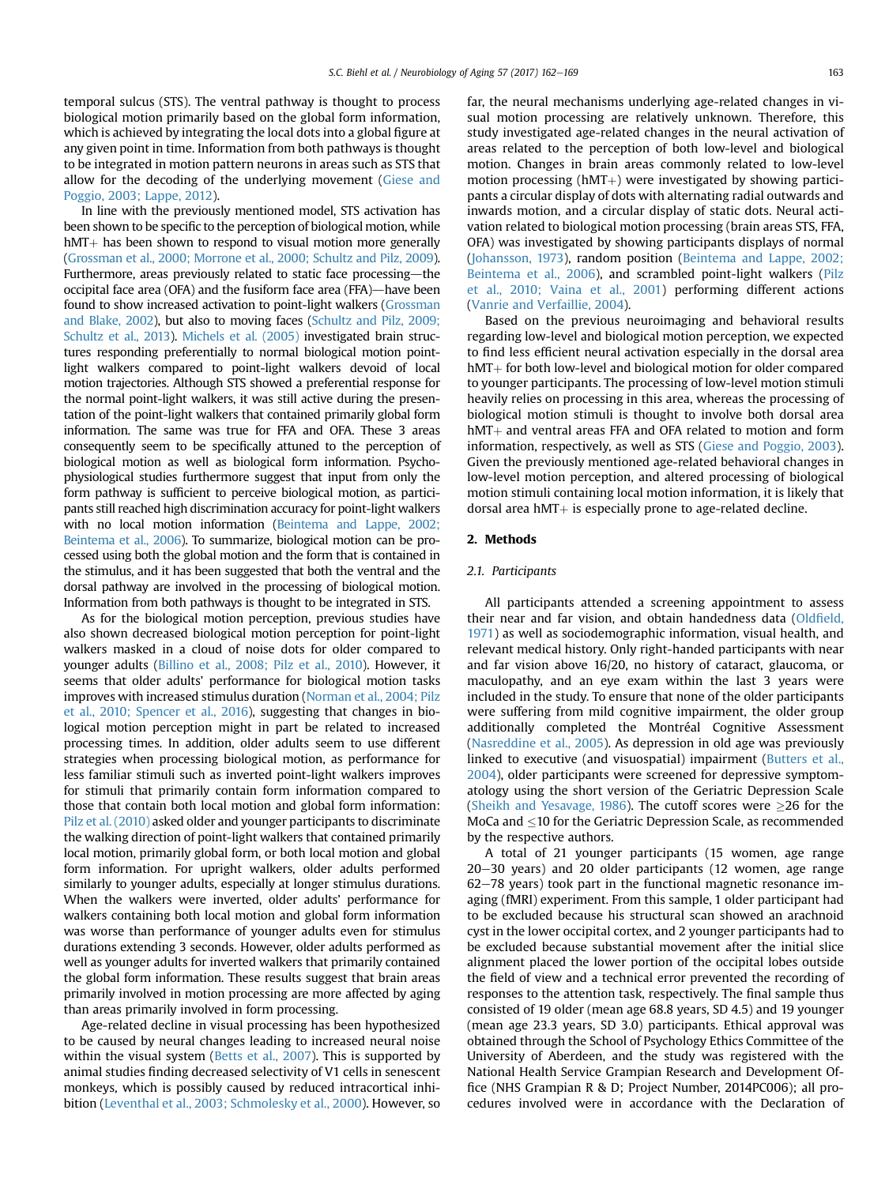temporal sulcus (STS). The ventral pathway is thought to process biological motion primarily based on the global form information, which is achieved by integrating the local dots into a global figure at any given point in time. Information from both pathways is thought to be integrated in motion pattern neurons in areas such as STS that allow for the decoding of the underlying movement ([Giese and](#page-6-0) [Poggio, 2003; Lappe, 2012\)](#page-6-0).

In line with the previously mentioned model, STS activation has been shown to be specific to the perception of biological motion, while  $hMT+$  has been shown to respond to visual motion more generally [\(Grossman et al., 2000; Morrone et al., 2000; Schultz and Pilz, 2009](#page-6-0)). Furthermore, areas previously related to static face processing-the occipital face area (OFA) and the fusiform face area (FFA)—have been found to show increased activation to point-light walkers ([Grossman](#page-6-0) [and Blake, 2002\)](#page-6-0), but also to moving faces [\(Schultz and Pilz, 2009;](#page-7-0) [Schultz et al., 2013\)](#page-7-0). [Michels et al. \(2005\)](#page-6-0) investigated brain structures responding preferentially to normal biological motion pointlight walkers compared to point-light walkers devoid of local motion trajectories. Although STS showed a preferential response for the normal point-light walkers, it was still active during the presentation of the point-light walkers that contained primarily global form information. The same was true for FFA and OFA. These 3 areas consequently seem to be specifically attuned to the perception of biological motion as well as biological form information. Psychophysiological studies furthermore suggest that input from only the form pathway is sufficient to perceive biological motion, as participants still reached high discrimination accuracy for point-light walkers with no local motion information [\(Beintema and Lappe, 2002;](#page-6-0) [Beintema et al., 2006\)](#page-6-0). To summarize, biological motion can be processed using both the global motion and the form that is contained in the stimulus, and it has been suggested that both the ventral and the dorsal pathway are involved in the processing of biological motion. Information from both pathways is thought to be integrated in STS.

As for the biological motion perception, previous studies have also shown decreased biological motion perception for point-light walkers masked in a cloud of noise dots for older compared to younger adults ([Billino et al., 2008; Pilz et al., 2010](#page-6-0)). However, it seems that older adults' performance for biological motion tasks improves with increased stimulus duration ([Norman et al., 2004; Pilz](#page-6-0) [et al., 2010; Spencer et al., 2016\)](#page-6-0), suggesting that changes in biological motion perception might in part be related to increased processing times. In addition, older adults seem to use different strategies when processing biological motion, as performance for less familiar stimuli such as inverted point-light walkers improves for stimuli that primarily contain form information compared to those that contain both local motion and global form information: [Pilz et al. \(2010\)](#page-6-0) asked older and younger participants to discriminate the walking direction of point-light walkers that contained primarily local motion, primarily global form, or both local motion and global form information. For upright walkers, older adults performed similarly to younger adults, especially at longer stimulus durations. When the walkers were inverted, older adults' performance for walkers containing both local motion and global form information was worse than performance of younger adults even for stimulus durations extending 3 seconds. However, older adults performed as well as younger adults for inverted walkers that primarily contained the global form information. These results suggest that brain areas primarily involved in motion processing are more affected by aging than areas primarily involved in form processing.

Age-related decline in visual processing has been hypothesized to be caused by neural changes leading to increased neural noise within the visual system [\(Betts et al., 2007](#page-6-0)). This is supported by animal studies finding decreased selectivity of V1 cells in senescent monkeys, which is possibly caused by reduced intracortical inhibition ([Leventhal et al., 2003; Schmolesky et al., 2000\)](#page-6-0). However, so

far, the neural mechanisms underlying age-related changes in visual motion processing are relatively unknown. Therefore, this study investigated age-related changes in the neural activation of areas related to the perception of both low-level and biological motion. Changes in brain areas commonly related to low-level motion processing ( $hMT+$ ) were investigated by showing participants a circular display of dots with alternating radial outwards and inwards motion, and a circular display of static dots. Neural activation related to biological motion processing (brain areas STS, FFA, OFA) was investigated by showing participants displays of normal [\(Johansson, 1973\)](#page-6-0), random position [\(Beintema and Lappe, 2002;](#page-6-0) [Beintema et al., 2006\)](#page-6-0), and scrambled point-light walkers [\(Pilz](#page-6-0) [et al., 2010; Vaina et al., 2001](#page-6-0)) performing different actions [\(Vanrie and Verfaillie, 2004\)](#page-7-0).

Based on the previous neuroimaging and behavioral results regarding low-level and biological motion perception, we expected to find less efficient neural activation especially in the dorsal area  $\mathrm{hMT}{+}$  for both low-level and biological motion for older compared to younger participants. The processing of low-level motion stimuli heavily relies on processing in this area, whereas the processing of biological motion stimuli is thought to involve both dorsal area  $hMT$  and ventral areas FFA and OFA related to motion and form information, respectively, as well as STS ([Giese and Poggio, 2003\)](#page-6-0). Given the previously mentioned age-related behavioral changes in low-level motion perception, and altered processing of biological motion stimuli containing local motion information, it is likely that dorsal area  $hMT +$  is especially prone to age-related decline.

# 2. Methods

#### 2.1. Participants

All participants attended a screening appointment to assess their near and far vision, and obtain handedness data (Oldfi[eld,](#page-6-0) [1971](#page-6-0)) as well as sociodemographic information, visual health, and relevant medical history. Only right-handed participants with near and far vision above 16/20, no history of cataract, glaucoma, or maculopathy, and an eye exam within the last 3 years were included in the study. To ensure that none of the older participants were suffering from mild cognitive impairment, the older group additionally completed the Montréal Cognitive Assessment [\(Nasreddine et al., 2005](#page-6-0)). As depression in old age was previously linked to executive (and visuospatial) impairment [\(Butters et al.,](#page-6-0) [2004](#page-6-0)), older participants were screened for depressive symptomatology using the short version of the Geriatric Depression Scale [\(Sheikh and Yesavage, 1986\)](#page-7-0). The cutoff scores were  $\geq$ 26 for the MoCa and <10 for the Geriatric Depression Scale, as recommended by the respective authors.

A total of 21 younger participants (15 women, age range  $20-30$  years) and 20 older participants (12 women, age range  $62-78$  years) took part in the functional magnetic resonance imaging (fMRI) experiment. From this sample, 1 older participant had to be excluded because his structural scan showed an arachnoid cyst in the lower occipital cortex, and 2 younger participants had to be excluded because substantial movement after the initial slice alignment placed the lower portion of the occipital lobes outside the field of view and a technical error prevented the recording of responses to the attention task, respectively. The final sample thus consisted of 19 older (mean age 68.8 years, SD 4.5) and 19 younger (mean age 23.3 years, SD 3.0) participants. Ethical approval was obtained through the School of Psychology Ethics Committee of the University of Aberdeen, and the study was registered with the National Health Service Grampian Research and Development Office (NHS Grampian R & D; Project Number, 2014PC006); all procedures involved were in accordance with the Declaration of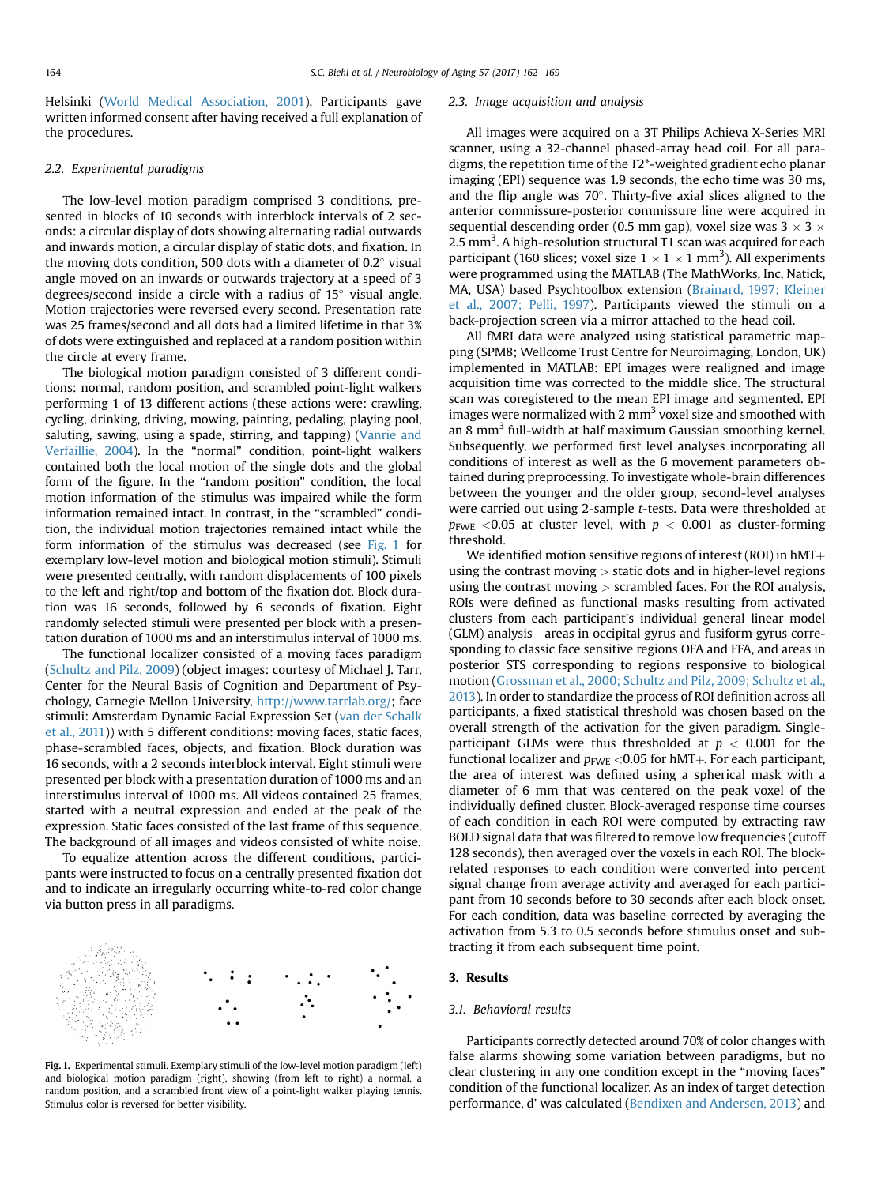Helsinki ([World Medical Association, 2001\)](#page-7-0). Participants gave written informed consent after having received a full explanation of the procedures.

# 2.2. Experimental paradigms

The low-level motion paradigm comprised 3 conditions, presented in blocks of 10 seconds with interblock intervals of 2 seconds: a circular display of dots showing alternating radial outwards and inwards motion, a circular display of static dots, and fixation. In the moving dots condition, 500 dots with a diameter of  $0.2^\circ$  visual angle moved on an inwards or outwards trajectory at a speed of 3 degrees/second inside a circle with a radius of  $15^{\circ}$  visual angle. Motion trajectories were reversed every second. Presentation rate was 25 frames/second and all dots had a limited lifetime in that 3% of dots were extinguished and replaced at a random position within the circle at every frame.

The biological motion paradigm consisted of 3 different conditions: normal, random position, and scrambled point-light walkers performing 1 of 13 different actions (these actions were: crawling, cycling, drinking, driving, mowing, painting, pedaling, playing pool, saluting, sawing, using a spade, stirring, and tapping) [\(Vanrie and](#page-7-0) [Verfaillie, 2004\)](#page-7-0). In the "normal" condition, point-light walkers contained both the local motion of the single dots and the global form of the figure. In the "random position" condition, the local motion information of the stimulus was impaired while the form information remained intact. In contrast, in the "scrambled" condition, the individual motion trajectories remained intact while the form information of the stimulus was decreased (see Fig. 1 for exemplary low-level motion and biological motion stimuli). Stimuli were presented centrally, with random displacements of 100 pixels to the left and right/top and bottom of the fixation dot. Block duration was 16 seconds, followed by 6 seconds of fixation. Eight randomly selected stimuli were presented per block with a presentation duration of 1000 ms and an interstimulus interval of 1000 ms.

The functional localizer consisted of a moving faces paradigm [\(Schultz and Pilz, 2009\)](#page-7-0) (object images: courtesy of Michael J. Tarr, Center for the Neural Basis of Cognition and Department of Psychology, Carnegie Mellon University, <http://www.tarrlab.org/>; face stimuli: Amsterdam Dynamic Facial Expression Set ([van der Schalk](#page-7-0) [et al., 2011](#page-7-0))) with 5 different conditions: moving faces, static faces, phase-scrambled faces, objects, and fixation. Block duration was 16 seconds, with a 2 seconds interblock interval. Eight stimuli were presented per block with a presentation duration of 1000 ms and an interstimulus interval of 1000 ms. All videos contained 25 frames, started with a neutral expression and ended at the peak of the expression. Static faces consisted of the last frame of this sequence. The background of all images and videos consisted of white noise.

To equalize attention across the different conditions, participants were instructed to focus on a centrally presented fixation dot and to indicate an irregularly occurring white-to-red color change via button press in all paradigms.



Fig. 1. Experimental stimuli. Exemplary stimuli of the low-level motion paradigm (left) and biological motion paradigm (right), showing (from left to right) a normal, a random position, and a scrambled front view of a point-light walker playing tennis. Stimulus color is reversed for better visibility.

#### 2.3. Image acquisition and analysis

All images were acquired on a 3T Philips Achieva X-Series MRI scanner, using a 32-channel phased-array head coil. For all paradigms, the repetition time of the T2\*-weighted gradient echo planar imaging (EPI) sequence was 1.9 seconds, the echo time was 30 ms, and the flip angle was  $70^\circ$ . Thirty-five axial slices aligned to the anterior commissure-posterior commissure line were acquired in sequential descending order (0.5 mm gap), voxel size was  $3 \times 3 \times$ 2.5 mm<sup>3</sup>. A high-resolution structural T1 scan was acquired for each participant (160 slices; voxel size  $1 \times 1 \times 1$  mm<sup>3</sup>). All experiments were programmed using the MATLAB (The MathWorks, Inc, Natick, MA, USA) based Psychtoolbox extension ([Brainard, 1997; Kleiner](#page-6-0) [et al., 2007; Pelli, 1997\)](#page-6-0). Participants viewed the stimuli on a back-projection screen via a mirror attached to the head coil.

All fMRI data were analyzed using statistical parametric mapping (SPM8; Wellcome Trust Centre for Neuroimaging, London, UK) implemented in MATLAB: EPI images were realigned and image acquisition time was corrected to the middle slice. The structural scan was coregistered to the mean EPI image and segmented. EPI images were normalized with 2  $mm<sup>3</sup>$  voxel size and smoothed with an 8 mm<sup>3</sup> full-width at half maximum Gaussian smoothing kernel. Subsequently, we performed first level analyses incorporating all conditions of interest as well as the 6 movement parameters obtained during preprocessing. To investigate whole-brain differences between the younger and the older group, second-level analyses were carried out using 2-sample t-tests. Data were thresholded at  $p_{\text{FWE}}$  <0.05 at cluster level, with  $p < 0.001$  as cluster-forming threshold.

We identified motion sensitive regions of interest (ROI) in  $hMT +$ using the contrast moving  $>$  static dots and in higher-level regions using the contrast moving  $>$  scrambled faces. For the ROI analysis, ROIs were defined as functional masks resulting from activated clusters from each participant's individual general linear model  $(GLM)$  analysis—areas in occipital gyrus and fusiform gyrus corresponding to classic face sensitive regions OFA and FFA, and areas in posterior STS corresponding to regions responsive to biological motion ([Grossman et al., 2000; Schultz and Pilz, 2009; Schultz et al.,](#page-6-0) [2013\)](#page-6-0). In order to standardize the process of ROI definition across all participants, a fixed statistical threshold was chosen based on the overall strength of the activation for the given paradigm. Singleparticipant GLMs were thus thresholded at  $p < 0.001$  for the functional localizer and  $p_{\text{FWE}}$  <0.05 for hMT+. For each participant, the area of interest was defined using a spherical mask with a diameter of 6 mm that was centered on the peak voxel of the individually defined cluster. Block-averaged response time courses of each condition in each ROI were computed by extracting raw BOLD signal data that was filtered to remove low frequencies (cutoff 128 seconds), then averaged over the voxels in each ROI. The blockrelated responses to each condition were converted into percent signal change from average activity and averaged for each participant from 10 seconds before to 30 seconds after each block onset. For each condition, data was baseline corrected by averaging the activation from 5.3 to 0.5 seconds before stimulus onset and subtracting it from each subsequent time point.

# 3. Results

#### 3.1. Behavioral results

Participants correctly detected around 70% of color changes with false alarms showing some variation between paradigms, but no clear clustering in any one condition except in the "moving faces" condition of the functional localizer. As an index of target detection performance, d' was calculated ([Bendixen and Andersen, 2013](#page-6-0)) and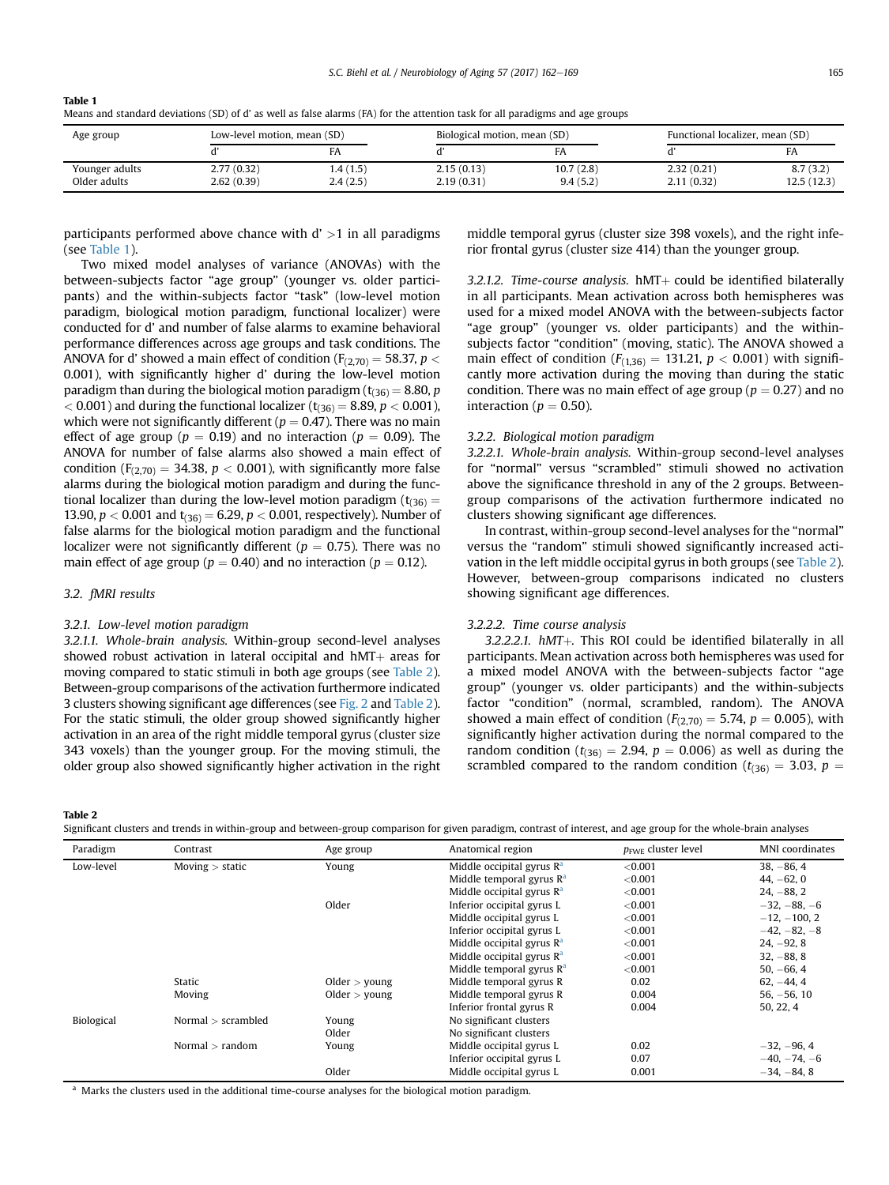<span id="page-3-0"></span>

| Table 1                                                                                                                       |
|-------------------------------------------------------------------------------------------------------------------------------|
| Means and standard deviations (SD) of d' as well as false alarms (FA) for the attention task for all paradigms and age groups |

| Age group                      | Low-level motion, mean (SD) |                      | Biological motion, mean (SD) |                       | Functional localizer, mean (SD) |                        |
|--------------------------------|-----------------------------|----------------------|------------------------------|-----------------------|---------------------------------|------------------------|
|                                |                             |                      |                              |                       |                                 | FA                     |
| Younger adults<br>Older adults | 2.77(0.32)<br>2.62(0.39)    | 1.4(1.5)<br>2.4(2.5) | 2.15(0.13)<br>2.19(0.31)     | 10.7(2.8)<br>9.4(5.2) | 2.32(0.21)<br>2.11(0.32)        | 8.7(3.2)<br>12.5(12.3) |

participants performed above chance with  $d' > 1$  in all paradigms (see Table 1).

Two mixed model analyses of variance (ANOVAs) with the between-subjects factor "age group" (younger vs. older participants) and the within-subjects factor "task" (low-level motion paradigm, biological motion paradigm, functional localizer) were conducted for d' and number of false alarms to examine behavioral performance differences across age groups and task conditions. The ANOVA for d' showed a main effect of condition ( $F_{(2,70)} = 58.37$ ,  $p <$ 0.001), with significantly higher d' during the low-level motion paradigm than during the biological motion paradigm ( $t_{(36)} = 8.80$ , p  $< 0.001$ ) and during the functional localizer ( $t_{(36)} = 8.89$ ,  $p < 0.001$ ), which were not significantly different ( $p = 0.47$ ). There was no main effect of age group ( $p = 0.19$ ) and no interaction ( $p = 0.09$ ). The ANOVA for number of false alarms also showed a main effect of condition ( $F_{(2,70)} = 34.38$ ,  $p < 0.001$ ), with significantly more false alarms during the biological motion paradigm and during the functional localizer than during the low-level motion paradigm ( $t_{(36)}$  = 13.90,  $p < 0.001$  and  $t_{(36)} = 6.29$ ,  $p < 0.001$ , respectively). Number of false alarms for the biological motion paradigm and the functional localizer were not significantly different ( $p = 0.75$ ). There was no main effect of age group ( $p = 0.40$ ) and no interaction ( $p = 0.12$ ).

# 3.2. fMRI results

## 3.2.1. Low-level motion paradigm

3.2.1.1. Whole-brain analysis. Within-group second-level analyses showed robust activation in lateral occipital and  $hMT$  areas for moving compared to static stimuli in both age groups (see Table 2). Between-group comparisons of the activation furthermore indicated 3 clusters showing significant age differences (see [Fig. 2](#page-4-0) and Table 2). For the static stimuli, the older group showed significantly higher activation in an area of the right middle temporal gyrus (cluster size 343 voxels) than the younger group. For the moving stimuli, the older group also showed significantly higher activation in the right middle temporal gyrus (cluster size 398 voxels), and the right inferior frontal gyrus (cluster size 414) than the younger group.

3.2.1.2. Time-course analysis.  $hMT$  could be identified bilaterally in all participants. Mean activation across both hemispheres was used for a mixed model ANOVA with the between-subjects factor "age group" (younger vs. older participants) and the withinsubjects factor "condition" (moving, static). The ANOVA showed a main effect of condition ( $F_{(1,36)} = 131.21$ ,  $p < 0.001$ ) with significantly more activation during the moving than during the static condition. There was no main effect of age group ( $p = 0.27$ ) and no interaction ( $p = 0.50$ ).

## 3.2.2. Biological motion paradigm

3.2.2.1. Whole-brain analysis. Within-group second-level analyses for "normal" versus "scrambled" stimuli showed no activation above the significance threshold in any of the 2 groups. Betweengroup comparisons of the activation furthermore indicated no clusters showing significant age differences.

In contrast, within-group second-level analyses for the "normal" versus the "random" stimuli showed significantly increased activation in the left middle occipital gyrus in both groups (see Table 2). However, between-group comparisons indicated no clusters showing significant age differences.

## 3.2.2.2. Time course analysis

 $3.2.2.2.1.$  hMT+. This ROI could be identified bilaterally in all participants. Mean activation across both hemispheres was used for a mixed model ANOVA with the between-subjects factor "age group" (younger vs. older participants) and the within-subjects factor "condition" (normal, scrambled, random). The ANOVA showed a main effect of condition ( $F_{(2,70)} = 5.74$ ,  $p = 0.005$ ), with significantly higher activation during the normal compared to the random condition ( $t_{(36)} = 2.94$ ,  $p = 0.006$ ) as well as during the scrambled compared to the random condition ( $t_{(36)} = 3.03$ ,  $p =$ 

Table 2

| Significant clusters and trends in within-group and between-group comparison for given paradigm, contrast of interest, and age group for the whole-brain analyses |  |  |  |
|-------------------------------------------------------------------------------------------------------------------------------------------------------------------|--|--|--|
|-------------------------------------------------------------------------------------------------------------------------------------------------------------------|--|--|--|

| Paradigm   | Contrast           | Age group       | Anatomical region           | $p_{\text{FWF}}$ cluster level | MNI coordinates |
|------------|--------------------|-----------------|-----------------------------|--------------------------------|-----------------|
| Low-level  | Moving $>$ static  | Young           | Middle occipital gyrus $Ra$ | < 0.001                        | $38, -86, 4$    |
|            |                    |                 | Middle temporal gyrus $Ra$  | < 0.001                        | $44, -62, 0$    |
|            |                    |                 | Middle occipital gyrus $Ra$ | < 0.001                        | $24, -88, 2$    |
|            |                    | Older           | Inferior occipital gyrus L  | < 0.001                        | $-32, -88, -6$  |
|            |                    |                 | Middle occipital gyrus L    | < 0.001                        | $-12, -100, 2$  |
|            |                    |                 | Inferior occipital gyrus L  | < 0.001                        | $-42, -82, -8$  |
|            |                    |                 | Middle occipital gyrus $Ra$ | < 0.001                        | $24, -92, 8$    |
|            |                    |                 | Middle occipital gyrus $Ra$ | < 0.001                        | $32, -88, 8$    |
|            |                    |                 | Middle temporal gyrus $R^a$ | < 0.001                        | $50, -66, 4$    |
|            | Static             | Older $>$ young | Middle temporal gyrus R     | 0.02                           | $62, -44, 4$    |
|            | Moving             | Older $>$ young | Middle temporal gyrus R     | 0.004                          | $56, -56, 10$   |
|            |                    |                 | Inferior frontal gyrus R    | 0.004                          | 50, 22, 4       |
| Biological | Normal > scrambled | Young           | No significant clusters     |                                |                 |
|            |                    | Older           | No significant clusters     |                                |                 |
|            | Normal $>$ random  | Young           | Middle occipital gyrus L    | 0.02                           | $-32, -96, 4$   |
|            |                    |                 | Inferior occipital gyrus L  | 0.07                           | $-40, -74, -6$  |
|            |                    | Older           | Middle occipital gyrus L    | 0.001                          | $-34, -84, 8$   |

<sup>a</sup> Marks the clusters used in the additional time-course analyses for the biological motion paradigm.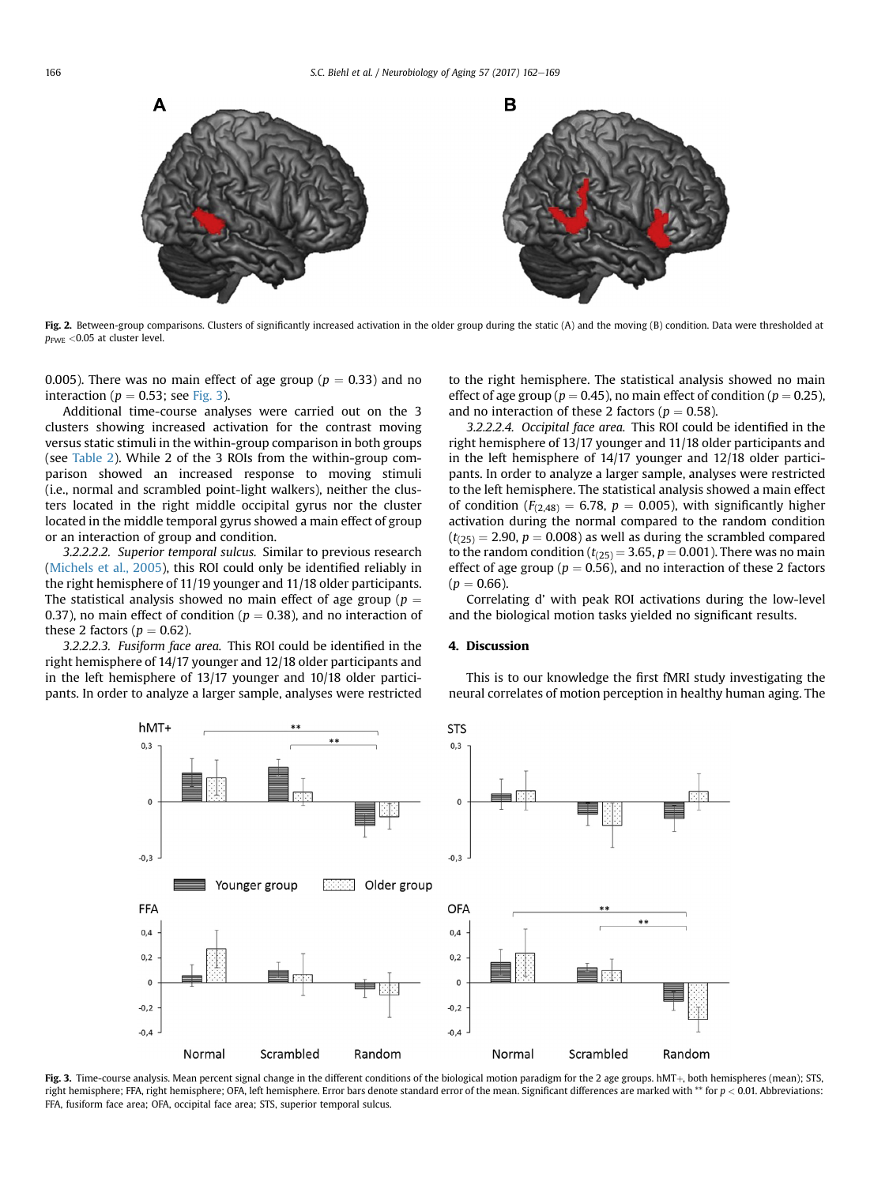<span id="page-4-0"></span>

Fig. 2. Between-group comparisons. Clusters of significantly increased activation in the older group during the static (A) and the moving (B) condition. Data were thresholded at  $p_{\text{FWE}}$  <0.05 at cluster level.

0.005). There was no main effect of age group ( $p = 0.33$ ) and no interaction ( $p = 0.53$ ; see Fig. 3).

Additional time-course analyses were carried out on the 3 clusters showing increased activation for the contrast moving versus static stimuli in the within-group comparison in both groups (see [Table 2](#page-3-0)). While 2 of the 3 ROIs from the within-group comparison showed an increased response to moving stimuli (i.e., normal and scrambled point-light walkers), neither the clusters located in the right middle occipital gyrus nor the cluster located in the middle temporal gyrus showed a main effect of group or an interaction of group and condition.

3.2.2.2.2. Superior temporal sulcus. Similar to previous research [\(Michels et al., 2005](#page-6-0)), this ROI could only be identified reliably in the right hemisphere of 11/19 younger and 11/18 older participants. The statistical analysis showed no main effect of age group ( $p =$ 0.37), no main effect of condition ( $p = 0.38$ ), and no interaction of these 2 factors ( $p = 0.62$ ).

3.2.2.2.3. Fusiform face area. This ROI could be identified in the right hemisphere of 14/17 younger and 12/18 older participants and in the left hemisphere of 13/17 younger and 10/18 older participants. In order to analyze a larger sample, analyses were restricted to the right hemisphere. The statistical analysis showed no main effect of age group ( $p = 0.45$ ), no main effect of condition ( $p = 0.25$ ), and no interaction of these 2 factors ( $p = 0.58$ ).

3.2.2.2.4. Occipital face area. This ROI could be identified in the right hemisphere of 13/17 younger and 11/18 older participants and in the left hemisphere of 14/17 younger and 12/18 older participants. In order to analyze a larger sample, analyses were restricted to the left hemisphere. The statistical analysis showed a main effect of condition ( $F_{(2,48)} = 6.78$ ,  $p = 0.005$ ), with significantly higher activation during the normal compared to the random condition  $(t<sub>(25)</sub> = 2.90, p = 0.008)$  as well as during the scrambled compared to the random condition ( $t_{(25)} = 3.65$ ,  $p = 0.001$ ). There was no main effect of age group ( $p = 0.56$ ), and no interaction of these 2 factors  $(p = 0.66)$ .

Correlating d' with peak ROI activations during the low-level and the biological motion tasks yielded no significant results.

# 4. Discussion

This is to our knowledge the first fMRI study investigating the neural correlates of motion perception in healthy human aging. The



Fig. 3. Time-course analysis. Mean percent signal change in the different conditions of the biological motion paradigm for the 2 age groups. hMT+, both hemispheres (mean); STS, right hemisphere; FFA, right hemisphere; OFA, left hemisphere. Error bars denote standard error of the mean. Significant differences are marked with \*\* for  $p < 0.01$ . Abbreviations: FFA, fusiform face area; OFA, occipital face area; STS, superior temporal sulcus.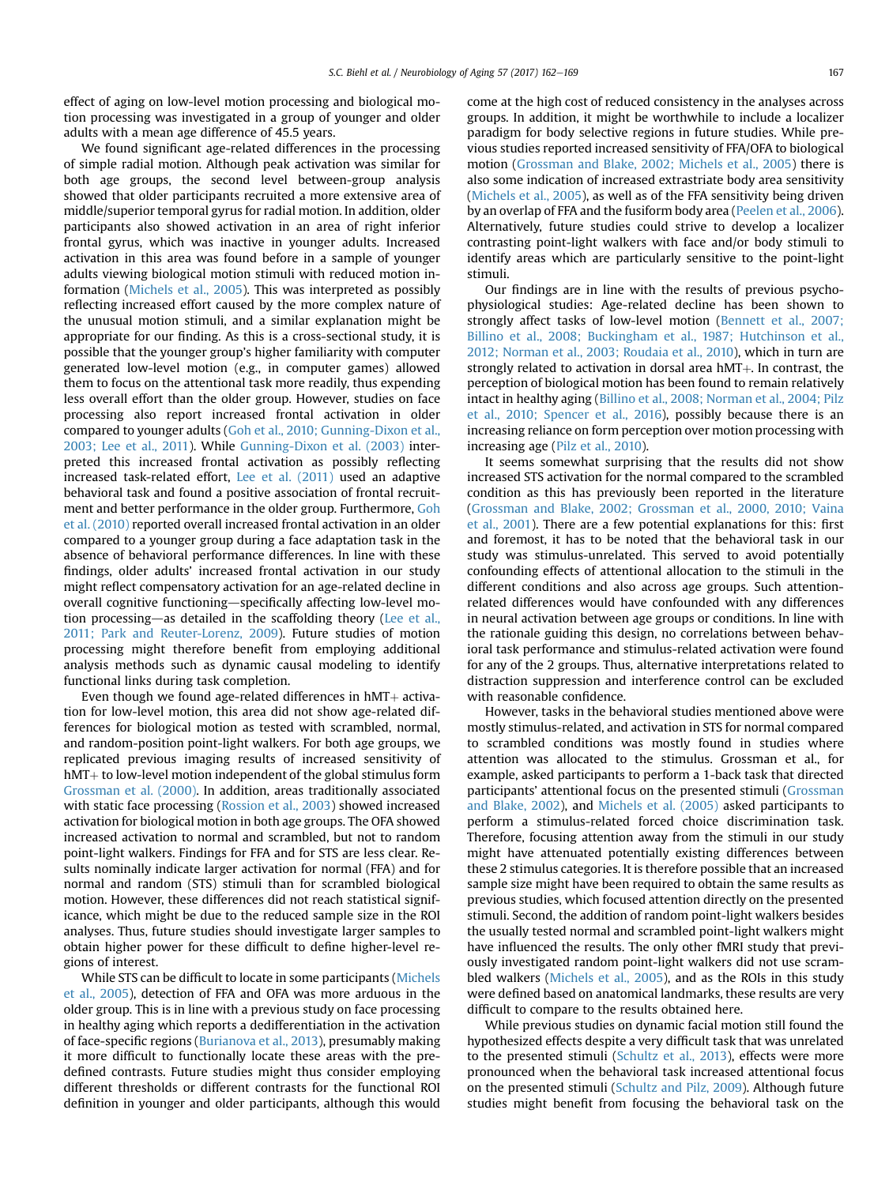effect of aging on low-level motion processing and biological motion processing was investigated in a group of younger and older adults with a mean age difference of 45.5 years.

We found significant age-related differences in the processing of simple radial motion. Although peak activation was similar for both age groups, the second level between-group analysis showed that older participants recruited a more extensive area of middle/superior temporal gyrus for radial motion. In addition, older participants also showed activation in an area of right inferior frontal gyrus, which was inactive in younger adults. Increased activation in this area was found before in a sample of younger adults viewing biological motion stimuli with reduced motion information [\(Michels et al., 2005\)](#page-6-0). This was interpreted as possibly reflecting increased effort caused by the more complex nature of the unusual motion stimuli, and a similar explanation might be appropriate for our finding. As this is a cross-sectional study, it is possible that the younger group's higher familiarity with computer generated low-level motion (e.g., in computer games) allowed them to focus on the attentional task more readily, thus expending less overall effort than the older group. However, studies on face processing also report increased frontal activation in older compared to younger adults ([Goh et al., 2010; Gunning-Dixon et al.,](#page-6-0) [2003; Lee et al., 2011](#page-6-0)). While [Gunning-Dixon et al. \(2003\)](#page-6-0) interpreted this increased frontal activation as possibly reflecting increased task-related effort, [Lee et al. \(2011\)](#page-6-0) used an adaptive behavioral task and found a positive association of frontal recruitment and better performance in the older group. Furthermore, [Goh](#page-6-0) [et al. \(2010\)](#page-6-0) reported overall increased frontal activation in an older compared to a younger group during a face adaptation task in the absence of behavioral performance differences. In line with these findings, older adults' increased frontal activation in our study might reflect compensatory activation for an age-related decline in overall cognitive functioning—specifically affecting low-level mo-tion processing—as detailed in the scaffolding theory ([Lee et al.,](#page-6-0) [2011; Park and Reuter-Lorenz, 2009\)](#page-6-0). Future studies of motion processing might therefore benefit from employing additional analysis methods such as dynamic causal modeling to identify functional links during task completion.

Even though we found age-related differences in  $hMT+$  activation for low-level motion, this area did not show age-related differences for biological motion as tested with scrambled, normal, and random-position point-light walkers. For both age groups, we replicated previous imaging results of increased sensitivity of  $hMT+$  to low-level motion independent of the global stimulus form [Grossman et al. \(2000\)](#page-6-0). In addition, areas traditionally associated with static face processing [\(Rossion et al., 2003](#page-6-0)) showed increased activation for biological motion in both age groups. The OFA showed increased activation to normal and scrambled, but not to random point-light walkers. Findings for FFA and for STS are less clear. Results nominally indicate larger activation for normal (FFA) and for normal and random (STS) stimuli than for scrambled biological motion. However, these differences did not reach statistical significance, which might be due to the reduced sample size in the ROI analyses. Thus, future studies should investigate larger samples to obtain higher power for these difficult to define higher-level regions of interest.

While STS can be difficult to locate in some participants ([Michels](#page-6-0) [et al., 2005](#page-6-0)), detection of FFA and OFA was more arduous in the older group. This is in line with a previous study on face processing in healthy aging which reports a dedifferentiation in the activation of face-specific regions [\(Burianova et al., 2013\)](#page-6-0), presumably making it more difficult to functionally locate these areas with the predefined contrasts. Future studies might thus consider employing different thresholds or different contrasts for the functional ROI definition in younger and older participants, although this would come at the high cost of reduced consistency in the analyses across groups. In addition, it might be worthwhile to include a localizer paradigm for body selective regions in future studies. While previous studies reported increased sensitivity of FFA/OFA to biological motion [\(Grossman and Blake, 2002; Michels et al., 2005\)](#page-6-0) there is also some indication of increased extrastriate body area sensitivity [\(Michels et al., 2005\)](#page-6-0), as well as of the FFA sensitivity being driven by an overlap of FFA and the fusiform body area ([Peelen et al., 2006\)](#page-6-0). Alternatively, future studies could strive to develop a localizer contrasting point-light walkers with face and/or body stimuli to identify areas which are particularly sensitive to the point-light stimuli.

Our findings are in line with the results of previous psychophysiological studies: Age-related decline has been shown to strongly affect tasks of low-level motion ([Bennett et al., 2007;](#page-6-0) [Billino et al., 2008; Buckingham et al., 1987; Hutchinson et al.,](#page-6-0) [2012; Norman et al., 2003; Roudaia et al., 2010](#page-6-0)), which in turn are strongly related to activation in dorsal area  $hMT+$ . In contrast, the perception of biological motion has been found to remain relatively intact in healthy aging [\(Billino et al., 2008; Norman et al., 2004; Pilz](#page-6-0) [et al., 2010; Spencer et al., 2016](#page-6-0)), possibly because there is an increasing reliance on form perception over motion processing with increasing age ([Pilz et al., 2010\)](#page-6-0).

It seems somewhat surprising that the results did not show increased STS activation for the normal compared to the scrambled condition as this has previously been reported in the literature [\(Grossman and Blake, 2002; Grossman et al., 2000, 2010; Vaina](#page-6-0) [et al., 2001](#page-6-0)). There are a few potential explanations for this: first and foremost, it has to be noted that the behavioral task in our study was stimulus-unrelated. This served to avoid potentially confounding effects of attentional allocation to the stimuli in the different conditions and also across age groups. Such attentionrelated differences would have confounded with any differences in neural activation between age groups or conditions. In line with the rationale guiding this design, no correlations between behavioral task performance and stimulus-related activation were found for any of the 2 groups. Thus, alternative interpretations related to distraction suppression and interference control can be excluded with reasonable confidence.

However, tasks in the behavioral studies mentioned above were mostly stimulus-related, and activation in STS for normal compared to scrambled conditions was mostly found in studies where attention was allocated to the stimulus. Grossman et al., for example, asked participants to perform a 1-back task that directed participants' attentional focus on the presented stimuli [\(Grossman](#page-6-0) [and Blake, 2002](#page-6-0)), and [Michels et al. \(2005\)](#page-6-0) asked participants to perform a stimulus-related forced choice discrimination task. Therefore, focusing attention away from the stimuli in our study might have attenuated potentially existing differences between these 2 stimulus categories. It is therefore possible that an increased sample size might have been required to obtain the same results as previous studies, which focused attention directly on the presented stimuli. Second, the addition of random point-light walkers besides the usually tested normal and scrambled point-light walkers might have influenced the results. The only other fMRI study that previously investigated random point-light walkers did not use scrambled walkers [\(Michels et al., 2005](#page-6-0)), and as the ROIs in this study were defined based on anatomical landmarks, these results are very difficult to compare to the results obtained here.

While previous studies on dynamic facial motion still found the hypothesized effects despite a very difficult task that was unrelated to the presented stimuli [\(Schultz et al., 2013\)](#page-7-0), effects were more pronounced when the behavioral task increased attentional focus on the presented stimuli ([Schultz and Pilz, 2009\)](#page-7-0). Although future studies might benefit from focusing the behavioral task on the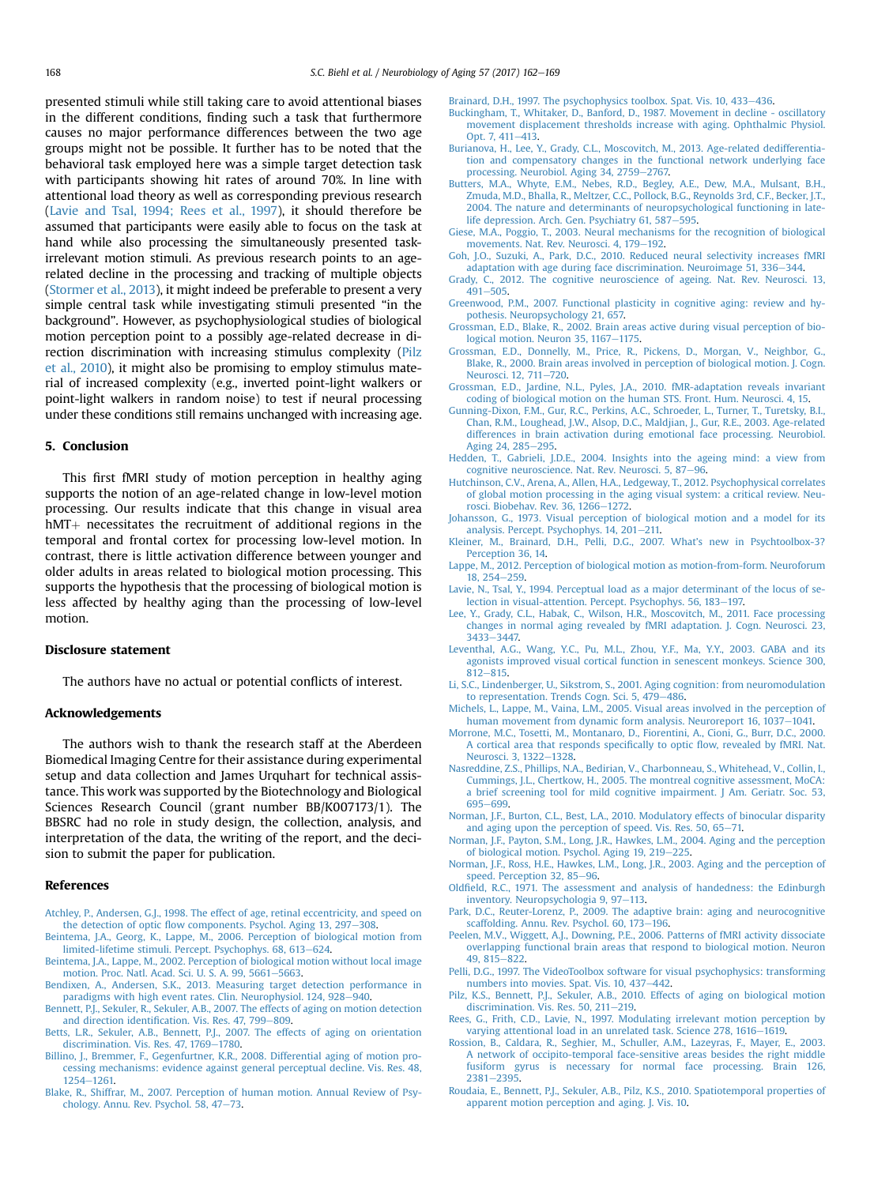<span id="page-6-0"></span>presented stimuli while still taking care to avoid attentional biases in the different conditions, finding such a task that furthermore causes no major performance differences between the two age groups might not be possible. It further has to be noted that the behavioral task employed here was a simple target detection task with participants showing hit rates of around 70%. In line with attentional load theory as well as corresponding previous research (Lavie and Tsal, 1994; Rees et al., 1997), it should therefore be assumed that participants were easily able to focus on the task at hand while also processing the simultaneously presented taskirrelevant motion stimuli. As previous research points to an agerelated decline in the processing and tracking of multiple objects [\(Stormer et al., 2013\)](#page-7-0), it might indeed be preferable to present a very simple central task while investigating stimuli presented "in the background". However, as psychophysiological studies of biological motion perception point to a possibly age-related decrease in direction discrimination with increasing stimulus complexity (Pilz et al., 2010), it might also be promising to employ stimulus material of increased complexity (e.g., inverted point-light walkers or point-light walkers in random noise) to test if neural processing under these conditions still remains unchanged with increasing age.

## 5. Conclusion

This first fMRI study of motion perception in healthy aging supports the notion of an age-related change in low-level motion processing. Our results indicate that this change in visual area  $hMT$  necessitates the recruitment of additional regions in the temporal and frontal cortex for processing low-level motion. In contrast, there is little activation difference between younger and older adults in areas related to biological motion processing. This supports the hypothesis that the processing of biological motion is less affected by healthy aging than the processing of low-level motion.

#### Disclosure statement

The authors have no actual or potential conflicts of interest.

## Acknowledgements

The authors wish to thank the research staff at the Aberdeen Biomedical Imaging Centre for their assistance during experimental setup and data collection and James Urquhart for technical assistance. This work was supported by the Biotechnology and Biological Sciences Research Council (grant number BB/K007173/1). The BBSRC had no role in study design, the collection, analysis, and interpretation of the data, the writing of the report, and the decision to submit the paper for publication.

## References

- [Atchley, P., Andersen, G.J., 1998. The effect of age, retinal eccentricity, and speed on](http://refhub.elsevier.com/S0197-4580(17)30185-9/sref1) the detection of optic fl[ow components. Psychol. Aging 13, 297](http://refhub.elsevier.com/S0197-4580(17)30185-9/sref1)-[308](http://refhub.elsevier.com/S0197-4580(17)30185-9/sref1).
- [Beintema, J.A., Georg, K., Lappe, M., 2006. Perception of biological motion from](http://refhub.elsevier.com/S0197-4580(17)30185-9/sref2) [limited-lifetime stimuli. Percept. Psychophys. 68, 613](http://refhub.elsevier.com/S0197-4580(17)30185-9/sref2)-[624](http://refhub.elsevier.com/S0197-4580(17)30185-9/sref2).
- [Beintema, J.A., Lappe, M., 2002. Perception of biological motion without local image](http://refhub.elsevier.com/S0197-4580(17)30185-9/sref3) [motion. Proc. Natl. Acad. Sci. U. S. A. 99, 5661](http://refhub.elsevier.com/S0197-4580(17)30185-9/sref3)-[5663](http://refhub.elsevier.com/S0197-4580(17)30185-9/sref3).
- [Bendixen, A., Andersen, S.K., 2013. Measuring target detection performance in](http://refhub.elsevier.com/S0197-4580(17)30185-9/sref4) [paradigms with high event rates. Clin. Neurophysiol. 124, 928](http://refhub.elsevier.com/S0197-4580(17)30185-9/sref4)-[940](http://refhub.elsevier.com/S0197-4580(17)30185-9/sref4).
- [Bennett, P.J., Sekuler, R., Sekuler, A.B., 2007. The effects of aging on motion detection](http://refhub.elsevier.com/S0197-4580(17)30185-9/sref5) and direction identifi[cation. Vis. Res. 47, 799](http://refhub.elsevier.com/S0197-4580(17)30185-9/sref5)-[809](http://refhub.elsevier.com/S0197-4580(17)30185-9/sref5).
- [Betts, L.R., Sekuler, A.B., Bennett, P.J., 2007. The effects of aging on orientation](http://refhub.elsevier.com/S0197-4580(17)30185-9/sref6) discrimination. Vis. Res.  $47, 1769-1780$  $47, 1769-1780$ .
- [Billino, J., Bremmer, F., Gegenfurtner, K.R., 2008. Differential aging of motion pro](http://refhub.elsevier.com/S0197-4580(17)30185-9/sref7)[cessing mechanisms: evidence against general perceptual decline. Vis. Res. 48,](http://refhub.elsevier.com/S0197-4580(17)30185-9/sref7) [1254](http://refhub.elsevier.com/S0197-4580(17)30185-9/sref7)-[1261.](http://refhub.elsevier.com/S0197-4580(17)30185-9/sref7)
- [Blake, R., Shiffrar, M., 2007. Perception of human motion. Annual Review of Psy](http://refhub.elsevier.com/S0197-4580(17)30185-9/sref8)[chology. Annu. Rev. Psychol. 58, 47](http://refhub.elsevier.com/S0197-4580(17)30185-9/sref8)-[73](http://refhub.elsevier.com/S0197-4580(17)30185-9/sref8).

[Brainard, D.H., 1997. The psychophysics toolbox. Spat. Vis. 10, 433](http://refhub.elsevier.com/S0197-4580(17)30185-9/sref9)-[436](http://refhub.elsevier.com/S0197-4580(17)30185-9/sref9).

- [Buckingham, T., Whitaker, D., Banford, D., 1987. Movement in decline oscillatory](http://refhub.elsevier.com/S0197-4580(17)30185-9/sref10) [movement displacement thresholds increase with aging. Ophthalmic Physiol.](http://refhub.elsevier.com/S0197-4580(17)30185-9/sref10) [Opt. 7, 411](http://refhub.elsevier.com/S0197-4580(17)30185-9/sref10)-[413.](http://refhub.elsevier.com/S0197-4580(17)30185-9/sref10)
- [Burianova, H., Lee, Y., Grady, C.L., Moscovitch, M., 2013. Age-related dedifferentia](http://refhub.elsevier.com/S0197-4580(17)30185-9/sref11)[tion and compensatory changes in the functional network underlying face](http://refhub.elsevier.com/S0197-4580(17)30185-9/sref11) [processing. Neurobiol. Aging 34, 2759](http://refhub.elsevier.com/S0197-4580(17)30185-9/sref11)-[2767.](http://refhub.elsevier.com/S0197-4580(17)30185-9/sref11)
- [Butters, M.A., Whyte, E.M., Nebes, R.D., Begley, A.E., Dew, M.A., Mulsant, B.H.,](http://refhub.elsevier.com/S0197-4580(17)30185-9/sref12) [Zmuda, M.D., Bhalla, R., Meltzer, C.C., Pollock, B.G., Reynolds 3rd, C.F., Becker, J.T.,](http://refhub.elsevier.com/S0197-4580(17)30185-9/sref12) [2004. The nature and determinants of neuropsychological functioning in late](http://refhub.elsevier.com/S0197-4580(17)30185-9/sref12)[life depression. Arch. Gen. Psychiatry 61, 587](http://refhub.elsevier.com/S0197-4580(17)30185-9/sref12)-[595](http://refhub.elsevier.com/S0197-4580(17)30185-9/sref12).
- [Giese, M.A., Poggio, T., 2003. Neural mechanisms for the recognition of biological](http://refhub.elsevier.com/S0197-4580(17)30185-9/sref13) [movements. Nat. Rev. Neurosci. 4, 179](http://refhub.elsevier.com/S0197-4580(17)30185-9/sref13)-[192](http://refhub.elsevier.com/S0197-4580(17)30185-9/sref13).
- [Goh, J.O., Suzuki, A., Park, D.C., 2010. Reduced neural selectivity increases fMRI](http://refhub.elsevier.com/S0197-4580(17)30185-9/sref14) [adaptation with age during face discrimination. Neuroimage 51, 336](http://refhub.elsevier.com/S0197-4580(17)30185-9/sref14)-[344](http://refhub.elsevier.com/S0197-4580(17)30185-9/sref14).
- [Grady, C., 2012. The cognitive neuroscience of ageing. Nat. Rev. Neurosci. 13,](http://refhub.elsevier.com/S0197-4580(17)30185-9/sref15)  $491 - 505.$  $491 - 505.$  $491 - 505.$
- [Greenwood, P.M., 2007. Functional plasticity in cognitive aging: review and hy](http://refhub.elsevier.com/S0197-4580(17)30185-9/sref16)[pothesis. Neuropsychology 21, 657.](http://refhub.elsevier.com/S0197-4580(17)30185-9/sref16)
- [Grossman, E.D., Blake, R., 2002. Brain areas active during visual perception of bio](http://refhub.elsevier.com/S0197-4580(17)30185-9/sref17)[logical motion. Neuron 35, 1167](http://refhub.elsevier.com/S0197-4580(17)30185-9/sref17)-[1175](http://refhub.elsevier.com/S0197-4580(17)30185-9/sref17).
- [Grossman, E.D., Donnelly, M., Price, R., Pickens, D., Morgan, V., Neighbor, G.,](http://refhub.elsevier.com/S0197-4580(17)30185-9/sref18) [Blake, R., 2000. Brain areas involved in perception of biological motion. J. Cogn.](http://refhub.elsevier.com/S0197-4580(17)30185-9/sref18) [Neurosci. 12, 711](http://refhub.elsevier.com/S0197-4580(17)30185-9/sref18)-[720.](http://refhub.elsevier.com/S0197-4580(17)30185-9/sref18)
- [Grossman, E.D., Jardine, N.L., Pyles, J.A., 2010. fMR-adaptation reveals invariant](http://refhub.elsevier.com/S0197-4580(17)30185-9/sref19) [coding of biological motion on the human STS. Front. Hum. Neurosci. 4, 15](http://refhub.elsevier.com/S0197-4580(17)30185-9/sref19).
- [Gunning-Dixon, F.M., Gur, R.C., Perkins, A.C., Schroeder, L., Turner, T., Turetsky, B.I.,](http://refhub.elsevier.com/S0197-4580(17)30185-9/sref20) [Chan, R.M., Loughead, J.W., Alsop, D.C., Maldjian, J., Gur, R.E., 2003. Age-related](http://refhub.elsevier.com/S0197-4580(17)30185-9/sref20) [differences in brain activation during emotional face processing. Neurobiol.](http://refhub.elsevier.com/S0197-4580(17)30185-9/sref20) [Aging 24, 285](http://refhub.elsevier.com/S0197-4580(17)30185-9/sref20)-[295](http://refhub.elsevier.com/S0197-4580(17)30185-9/sref20).
- [Hedden, T., Gabrieli, J.D.E., 2004. Insights into the ageing mind: a view from](http://refhub.elsevier.com/S0197-4580(17)30185-9/sref21) [cognitive neuroscience. Nat. Rev. Neurosci. 5, 87](http://refhub.elsevier.com/S0197-4580(17)30185-9/sref21)-[96](http://refhub.elsevier.com/S0197-4580(17)30185-9/sref21).
- [Hutchinson, C.V., Arena, A., Allen, H.A., Ledgeway, T., 2012. Psychophysical correlates](http://refhub.elsevier.com/S0197-4580(17)30185-9/sref22) [of global motion processing in the aging visual system: a critical review. Neu](http://refhub.elsevier.com/S0197-4580(17)30185-9/sref22)[rosci. Biobehav. Rev. 36, 1266](http://refhub.elsevier.com/S0197-4580(17)30185-9/sref22)-[1272](http://refhub.elsevier.com/S0197-4580(17)30185-9/sref22).
- [Johansson, G., 1973. Visual perception of biological motion and a model for its](http://refhub.elsevier.com/S0197-4580(17)30185-9/sref23) [analysis. Percept. Psychophys. 14, 201](http://refhub.elsevier.com/S0197-4580(17)30185-9/sref23)-[211.](http://refhub.elsevier.com/S0197-4580(17)30185-9/sref23)
- [Kleiner, M., Brainard, D.H., Pelli, D.G., 2007. What](http://refhub.elsevier.com/S0197-4580(17)30185-9/sref24)'s new in Psychtoolbox-3? [Perception 36, 14](http://refhub.elsevier.com/S0197-4580(17)30185-9/sref24).
- [Lappe, M., 2012. Perception of biological motion as motion-from-form. Neuroforum](http://refhub.elsevier.com/S0197-4580(17)30185-9/sref25) [18, 254](http://refhub.elsevier.com/S0197-4580(17)30185-9/sref25)-[259](http://refhub.elsevier.com/S0197-4580(17)30185-9/sref25).
- [Lavie, N., Tsal, Y., 1994. Perceptual load as a major determinant of the locus of se](http://refhub.elsevier.com/S0197-4580(17)30185-9/sref26)[lection in visual-attention. Percept. Psychophys. 56, 183](http://refhub.elsevier.com/S0197-4580(17)30185-9/sref26)-[197.](http://refhub.elsevier.com/S0197-4580(17)30185-9/sref26)
- [Lee, Y., Grady, C.L., Habak, C., Wilson, H.R., Moscovitch, M., 2011. Face processing](http://refhub.elsevier.com/S0197-4580(17)30185-9/sref27) [changes in normal aging revealed by fMRI adaptation. J. Cogn. Neurosci. 23,](http://refhub.elsevier.com/S0197-4580(17)30185-9/sref27) [3433](http://refhub.elsevier.com/S0197-4580(17)30185-9/sref27)-[3447.](http://refhub.elsevier.com/S0197-4580(17)30185-9/sref27)
- [Leventhal, A.G., Wang, Y.C., Pu, M.L., Zhou, Y.F., Ma, Y.Y., 2003. GABA and its](http://refhub.elsevier.com/S0197-4580(17)30185-9/sref28) [agonists improved visual cortical function in senescent monkeys. Science 300,](http://refhub.elsevier.com/S0197-4580(17)30185-9/sref28)  $812 - 815$  $812 - 815$
- [Li, S.C., Lindenberger, U., Sikstrom, S., 2001. Aging cognition: from neuromodulation](http://refhub.elsevier.com/S0197-4580(17)30185-9/sref29) [to representation. Trends Cogn. Sci. 5, 479](http://refhub.elsevier.com/S0197-4580(17)30185-9/sref29)-[486.](http://refhub.elsevier.com/S0197-4580(17)30185-9/sref29)
- [Michels, L., Lappe, M., Vaina, L.M., 2005. Visual areas involved in the perception of](http://refhub.elsevier.com/S0197-4580(17)30185-9/sref30) [human movement from dynamic form analysis. Neuroreport 16, 1037](http://refhub.elsevier.com/S0197-4580(17)30185-9/sref30)-[1041.](http://refhub.elsevier.com/S0197-4580(17)30185-9/sref30)
- [Morrone, M.C., Tosetti, M., Montanaro, D., Fiorentini, A., Cioni, G., Burr, D.C., 2000.](http://refhub.elsevier.com/S0197-4580(17)30185-9/sref31) [A cortical area that responds speci](http://refhub.elsevier.com/S0197-4580(17)30185-9/sref31)fically to optic flow, revealed by fMRI. Nat. [Neurosci. 3, 1322](http://refhub.elsevier.com/S0197-4580(17)30185-9/sref31)-[1328](http://refhub.elsevier.com/S0197-4580(17)30185-9/sref31).
- [Nasreddine, Z.S., Phillips, N.A., Bedirian, V., Charbonneau, S., Whitehead, V., Collin, I.,](http://refhub.elsevier.com/S0197-4580(17)30185-9/sref32) [Cummings, J.L., Chertkow, H., 2005. The montreal cognitive assessment, MoCA:](http://refhub.elsevier.com/S0197-4580(17)30185-9/sref32) [a brief screening tool for mild cognitive impairment. J Am. Geriatr. Soc. 53,](http://refhub.elsevier.com/S0197-4580(17)30185-9/sref32) [695](http://refhub.elsevier.com/S0197-4580(17)30185-9/sref32)-[699](http://refhub.elsevier.com/S0197-4580(17)30185-9/sref32)
- [Norman, J.F., Burton, C.L., Best, L.A., 2010. Modulatory effects of binocular disparity](http://refhub.elsevier.com/S0197-4580(17)30185-9/sref33) [and aging upon the perception of speed. Vis. Res. 50, 65](http://refhub.elsevier.com/S0197-4580(17)30185-9/sref33)-[71.](http://refhub.elsevier.com/S0197-4580(17)30185-9/sref33)
- [Norman, J.F., Payton, S.M., Long, J.R., Hawkes, L.M., 2004. Aging and the perception](http://refhub.elsevier.com/S0197-4580(17)30185-9/sref34) [of biological motion. Psychol. Aging 19, 219](http://refhub.elsevier.com/S0197-4580(17)30185-9/sref34)-[225.](http://refhub.elsevier.com/S0197-4580(17)30185-9/sref34)
- [Norman, J.F., Ross, H.E., Hawkes, L.M., Long, J.R., 2003. Aging and the perception of](http://refhub.elsevier.com/S0197-4580(17)30185-9/sref35) [speed. Perception 32, 85](http://refhub.elsevier.com/S0197-4580(17)30185-9/sref35)-[96](http://refhub.elsevier.com/S0197-4580(17)30185-9/sref35).
- Oldfi[eld, R.C., 1971. The assessment and analysis of handedness: the Edinburgh](http://refhub.elsevier.com/S0197-4580(17)30185-9/sref36) [inventory. Neuropsychologia 9, 97](http://refhub.elsevier.com/S0197-4580(17)30185-9/sref36)-[113.](http://refhub.elsevier.com/S0197-4580(17)30185-9/sref36)
- [Park, D.C., Reuter-Lorenz, P., 2009. The adaptive brain: aging and neurocognitive](http://refhub.elsevier.com/S0197-4580(17)30185-9/sref37) [scaffolding. Annu. Rev. Psychol. 60, 173](http://refhub.elsevier.com/S0197-4580(17)30185-9/sref37)-[196](http://refhub.elsevier.com/S0197-4580(17)30185-9/sref37).
- [Peelen, M.V., Wiggett, A.J., Downing, P.E., 2006. Patterns of fMRI activity dissociate](http://refhub.elsevier.com/S0197-4580(17)30185-9/sref38) [overlapping functional brain areas that respond to biological motion. Neuron](http://refhub.elsevier.com/S0197-4580(17)30185-9/sref38) [49, 815](http://refhub.elsevier.com/S0197-4580(17)30185-9/sref38)-[822](http://refhub.elsevier.com/S0197-4580(17)30185-9/sref38).
- [Pelli, D.G., 1997. The VideoToolbox software for visual psychophysics: transforming](http://refhub.elsevier.com/S0197-4580(17)30185-9/sref39) [numbers into movies. Spat. Vis. 10, 437](http://refhub.elsevier.com/S0197-4580(17)30185-9/sref39)-[442.](http://refhub.elsevier.com/S0197-4580(17)30185-9/sref39)
- [Pilz, K.S., Bennett, P.J., Sekuler, A.B., 2010. Effects of aging on biological motion](http://refhub.elsevier.com/S0197-4580(17)30185-9/sref40) [discrimination. Vis. Res. 50, 211](http://refhub.elsevier.com/S0197-4580(17)30185-9/sref40)-[219](http://refhub.elsevier.com/S0197-4580(17)30185-9/sref40).
- [Rees, G., Frith, C.D., Lavie, N., 1997. Modulating irrelevant motion perception by](http://refhub.elsevier.com/S0197-4580(17)30185-9/sref41) [varying attentional load in an unrelated task. Science 278, 1616](http://refhub.elsevier.com/S0197-4580(17)30185-9/sref41)-[1619](http://refhub.elsevier.com/S0197-4580(17)30185-9/sref41).
- [Rossion, B., Caldara, R., Seghier, M., Schuller, A.M., Lazeyras, F., Mayer, E., 2003.](http://refhub.elsevier.com/S0197-4580(17)30185-9/sref42) [A network of occipito-temporal face-sensitive areas besides the right middle](http://refhub.elsevier.com/S0197-4580(17)30185-9/sref42) [fusiform gyrus is necessary for normal face processing. Brain 126,](http://refhub.elsevier.com/S0197-4580(17)30185-9/sref42)  $2381 - 2395$  $2381 - 2395$ .
- [Roudaia, E., Bennett, P.J., Sekuler, A.B., Pilz, K.S., 2010. Spatiotemporal properties of](http://refhub.elsevier.com/S0197-4580(17)30185-9/sref43) [apparent motion perception and aging. J. Vis. 10.](http://refhub.elsevier.com/S0197-4580(17)30185-9/sref43)